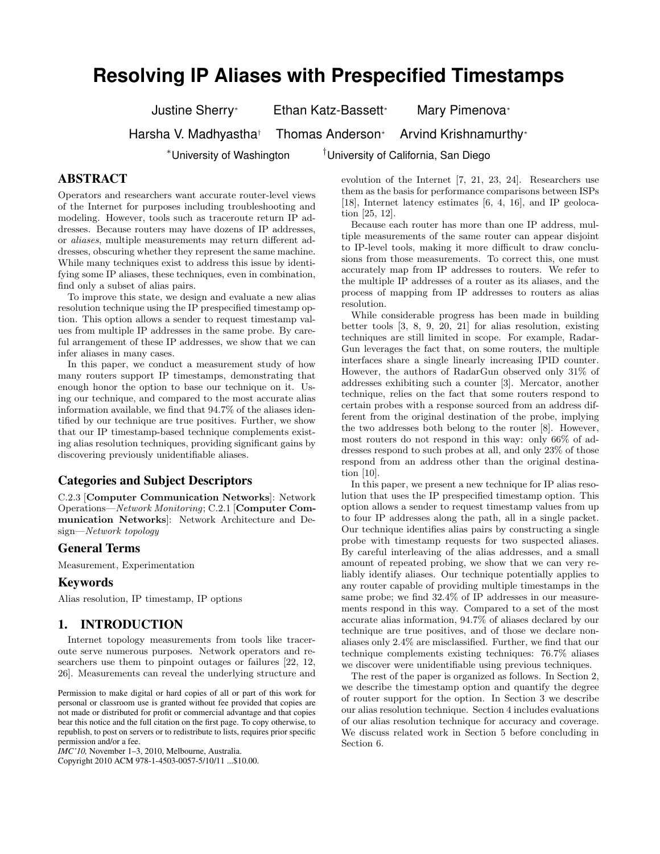# **Resolving IP Aliases with Prespecified Timestamps**

Justine Sherry<sup>∗</sup> Ethan Katz-Bassett<sup>∗</sup> Mary Pimenova<sup>∗</sup>

Harsha V. Madhyastha† Thomas Anderson<sup>∗</sup> Arvind Krishnamurthy<sup>∗</sup>

# <sup>∗</sup>University of Washington †University of California, San Diego

# ABSTRACT

Operators and researchers want accurate router-level views of the Internet for purposes including troubleshooting and modeling. However, tools such as traceroute return IP addresses. Because routers may have dozens of IP addresses, or aliases, multiple measurements may return different addresses, obscuring whether they represent the same machine. While many techniques exist to address this issue by identifying some IP aliases, these techniques, even in combination, find only a subset of alias pairs.

To improve this state, we design and evaluate a new alias resolution technique using the IP prespecified timestamp option. This option allows a sender to request timestamp values from multiple IP addresses in the same probe. By careful arrangement of these IP addresses, we show that we can infer aliases in many cases.

In this paper, we conduct a measurement study of how many routers support IP timestamps, demonstrating that enough honor the option to base our technique on it. Using our technique, and compared to the most accurate alias information available, we find that 94.7% of the aliases identified by our technique are true positives. Further, we show that our IP timestamp-based technique complements existing alias resolution techniques, providing significant gains by discovering previously unidentifiable aliases.

# Categories and Subject Descriptors

C.2.3 [Computer Communication Networks]: Network Operations—Network Monitoring; C.2.1 [Computer Communication Networks]: Network Architecture and Design—Network topology

## General Terms

Measurement, Experimentation

# Keywords

Alias resolution, IP timestamp, IP options

# 1. INTRODUCTION

Internet topology measurements from tools like traceroute serve numerous purposes. Network operators and researchers use them to pinpoint outages or failures [22, 12, 26]. Measurements can reveal the underlying structure and

*IMC'10,* November 1–3, 2010, Melbourne, Australia.

Copyright 2010 ACM 978-1-4503-0057-5/10/11 ...\$10.00.

evolution of the Internet [7, 21, 23, 24]. Researchers use them as the basis for performance comparisons between ISPs [18], Internet latency estimates [6, 4, 16], and IP geolocation [25, 12].

Because each router has more than one IP address, multiple measurements of the same router can appear disjoint to IP-level tools, making it more difficult to draw conclusions from those measurements. To correct this, one must accurately map from IP addresses to routers. We refer to the multiple IP addresses of a router as its aliases, and the process of mapping from IP addresses to routers as alias resolution.

While considerable progress has been made in building better tools [3, 8, 9, 20, 21] for alias resolution, existing techniques are still limited in scope. For example, Radar-Gun leverages the fact that, on some routers, the multiple interfaces share a single linearly increasing IPID counter. However, the authors of RadarGun observed only 31% of addresses exhibiting such a counter [3]. Mercator, another technique, relies on the fact that some routers respond to certain probes with a response sourced from an address different from the original destination of the probe, implying the two addresses both belong to the router [8]. However, most routers do not respond in this way: only 66% of addresses respond to such probes at all, and only 23% of those respond from an address other than the original destination [10].

In this paper, we present a new technique for IP alias resolution that uses the IP prespecified timestamp option. This option allows a sender to request timestamp values from up to four IP addresses along the path, all in a single packet. Our technique identifies alias pairs by constructing a single probe with timestamp requests for two suspected aliases. By careful interleaving of the alias addresses, and a small amount of repeated probing, we show that we can very reliably identify aliases. Our technique potentially applies to any router capable of providing multiple timestamps in the same probe; we find 32.4% of IP addresses in our measurements respond in this way. Compared to a set of the most accurate alias information, 94.7% of aliases declared by our technique are true positives, and of those we declare nonaliases only 2.4% are misclassified. Further, we find that our technique complements existing techniques: 76.7% aliases we discover were unidentifiable using previous techniques.

The rest of the paper is organized as follows. In Section 2, we describe the timestamp option and quantify the degree of router support for the option. In Section 3 we describe our alias resolution technique. Section 4 includes evaluations of our alias resolution technique for accuracy and coverage. We discuss related work in Section 5 before concluding in Section 6.

Permission to make digital or hard copies of all or part of this work for personal or classroom use is granted without fee provided that copies are not made or distributed for profit or commercial advantage and that copies bear this notice and the full citation on the first page. To copy otherwise, to republish, to post on servers or to redistribute to lists, requires prior specific permission and/or a fee.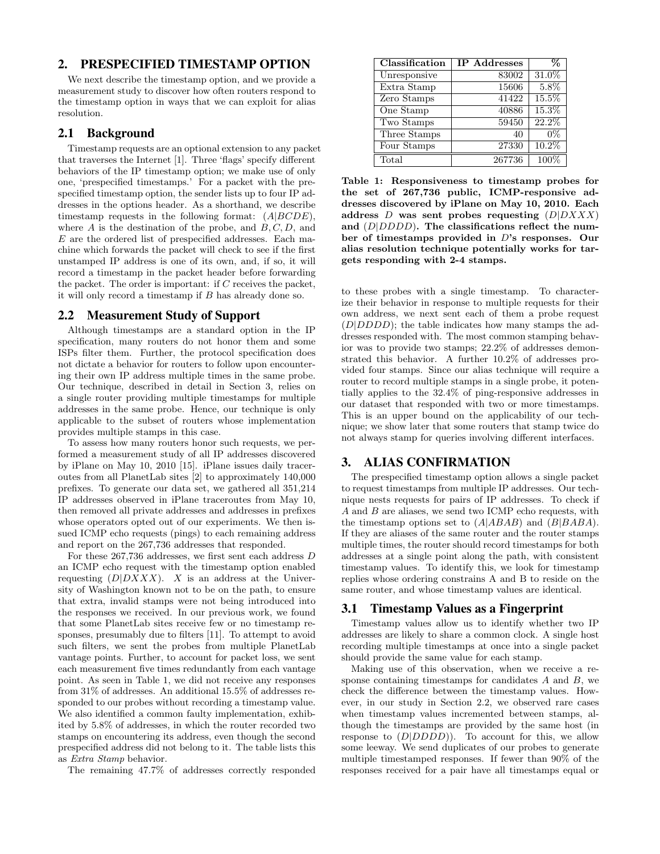# 2. PRESPECIFIED TIMESTAMP OPTION

We next describe the timestamp option, and we provide a measurement study to discover how often routers respond to the timestamp option in ways that we can exploit for alias resolution.

# 2.1 Background

Timestamp requests are an optional extension to any packet that traverses the Internet [1]. Three 'flags' specify different behaviors of the IP timestamp option; we make use of only one, 'prespecified timestamps.' For a packet with the prespecified timestamp option, the sender lists up to four IP addresses in the options header. As a shorthand, we describe timestamp requests in the following format:  $(A|BCDE)$ , where  $A$  is the destination of the probe, and  $B, C, D$ , and E are the ordered list of prespecified addresses. Each machine which forwards the packet will check to see if the first unstamped IP address is one of its own, and, if so, it will record a timestamp in the packet header before forwarding the packet. The order is important: if  $C$  receives the packet, it will only record a timestamp if B has already done so.

# 2.2 Measurement Study of Support

Although timestamps are a standard option in the IP specification, many routers do not honor them and some ISPs filter them. Further, the protocol specification does not dictate a behavior for routers to follow upon encountering their own IP address multiple times in the same probe. Our technique, described in detail in Section 3, relies on a single router providing multiple timestamps for multiple addresses in the same probe. Hence, our technique is only applicable to the subset of routers whose implementation provides multiple stamps in this case.

To assess how many routers honor such requests, we performed a measurement study of all IP addresses discovered by iPlane on May 10, 2010 [15]. iPlane issues daily traceroutes from all PlanetLab sites [2] to approximately 140,000 prefixes. To generate our data set, we gathered all 351,214 IP addresses observed in iPlane traceroutes from May 10, then removed all private addresses and addresses in prefixes whose operators opted out of our experiments. We then issued ICMP echo requests (pings) to each remaining address and report on the 267,736 addresses that responded.

For these 267,736 addresses, we first sent each address D an ICMP echo request with the timestamp option enabled requesting  $(D|DXXX)$ . X is an address at the University of Washington known not to be on the path, to ensure that extra, invalid stamps were not being introduced into the responses we received. In our previous work, we found that some PlanetLab sites receive few or no timestamp responses, presumably due to filters [11]. To attempt to avoid such filters, we sent the probes from multiple PlanetLab vantage points. Further, to account for packet loss, we sent each measurement five times redundantly from each vantage point. As seen in Table 1, we did not receive any responses from 31% of addresses. An additional 15.5% of addresses responded to our probes without recording a timestamp value. We also identified a common faulty implementation, exhibited by 5.8% of addresses, in which the router recorded two stamps on encountering its address, even though the second prespecified address did not belong to it. The table lists this as Extra Stamp behavior.

The remaining 47.7% of addresses correctly responded

| Classification | <b>IP</b> Addresses | %       |
|----------------|---------------------|---------|
| Unresponsive   | 83002               | 31.0%   |
| Extra Stamp    | 15606               | 5.8%    |
| Zero Stamps    | 41422               | 15.5%   |
| One Stamp      | 40886               | 15.3%   |
| Two Stamps     | 59450               | 22.2%   |
| Three Stamps   | 40                  | 0%      |
| Four Stamps    | 27330               | 10.2%   |
| Total          | 267736              | $100\%$ |

Table 1: Responsiveness to timestamp probes for the set of 267,736 public, ICMP-responsive addresses discovered by iPlane on May 10, 2010. Each address D was sent probes requesting  $(D|DXXX)$ and  $(D|DDD)$ . The classifications reflect the number of timestamps provided in D's responses. Our alias resolution technique potentially works for targets responding with 2-4 stamps.

to these probes with a single timestamp. To characterize their behavior in response to multiple requests for their own address, we next sent each of them a probe request  $(D|DDD)$ ; the table indicates how many stamps the addresses responded with. The most common stamping behavior was to provide two stamps; 22.2% of addresses demonstrated this behavior. A further 10.2% of addresses provided four stamps. Since our alias technique will require a router to record multiple stamps in a single probe, it potentially applies to the 32.4% of ping-responsive addresses in our dataset that responded with two or more timestamps. This is an upper bound on the applicability of our technique; we show later that some routers that stamp twice do not always stamp for queries involving different interfaces.

# 3. ALIAS CONFIRMATION

The prespecified timestamp option allows a single packet to request timestamps from multiple IP addresses. Our technique nests requests for pairs of IP addresses. To check if A and B are aliases, we send two ICMP echo requests, with the timestamp options set to  $(A|ABAB)$  and  $(B|BABA)$ . If they are aliases of the same router and the router stamps multiple times, the router should record timestamps for both addresses at a single point along the path, with consistent timestamp values. To identify this, we look for timestamp replies whose ordering constrains A and B to reside on the same router, and whose timestamp values are identical.

#### 3.1 Timestamp Values as a Fingerprint

Timestamp values allow us to identify whether two IP addresses are likely to share a common clock. A single host recording multiple timestamps at once into a single packet should provide the same value for each stamp.

Making use of this observation, when we receive a response containing timestamps for candidates  $A$  and  $B$ , we check the difference between the timestamp values. However, in our study in Section 2.2, we observed rare cases when timestamp values incremented between stamps, although the timestamps are provided by the same host (in response to  $(D|DDD)$ ). To account for this, we allow some leeway. We send duplicates of our probes to generate multiple timestamped responses. If fewer than 90% of the responses received for a pair have all timestamps equal or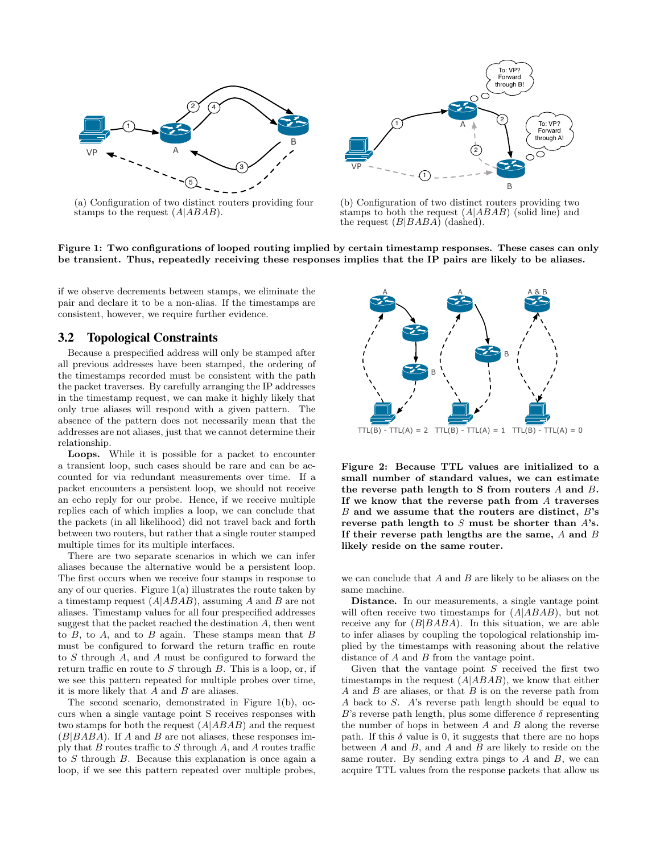

(a) Configuration of two distinct routers providing four stamps to the request  $(A|ABAB)$ .



(b) Configuration of two distinct routers providing two stamps to both the request  $(A|ABAB)$  (solid line) and the request  $(B|BABA)$  (dashed).

#### Figure 1: Two configurations of looped routing implied by certain timestamp responses. These cases can only be transient. Thus, repeatedly receiving these responses implies that the IP pairs are likely to be aliases.

if we observe decrements between stamps, we eliminate the pair and declare it to be a non-alias. If the timestamps are consistent, however, we require further evidence.

# 3.2 Topological Constraints

Because a prespecified address will only be stamped after all previous addresses have been stamped, the ordering of the timestamps recorded must be consistent with the path the packet traverses. By carefully arranging the IP addresses in the timestamp request, we can make it highly likely that only true aliases will respond with a given pattern. The absence of the pattern does not necessarily mean that the addresses are not aliases, just that we cannot determine their relationship.

Loops. While it is possible for a packet to encounter a transient loop, such cases should be rare and can be accounted for via redundant measurements over time. If a packet encounters a persistent loop, we should not receive an echo reply for our probe. Hence, if we receive multiple replies each of which implies a loop, we can conclude that the packets (in all likelihood) did not travel back and forth between two routers, but rather that a single router stamped multiple times for its multiple interfaces.

There are two separate scenarios in which we can infer aliases because the alternative would be a persistent loop. The first occurs when we receive four stamps in response to any of our queries. Figure 1(a) illustrates the route taken by a timestamp request  $(A|ABAB)$ , assuming A and B are not aliases. Timestamp values for all four prespecified addresses suggest that the packet reached the destination A, then went to  $B$ , to  $A$ , and to  $B$  again. These stamps mean that  $B$ must be configured to forward the return traffic en route to  $S$  through  $A$ , and  $A$  must be configured to forward the return traffic en route to  $S$  through  $B$ . This is a loop, or, if we see this pattern repeated for multiple probes over time, it is more likely that A and B are aliases.

The second scenario, demonstrated in Figure 1(b), occurs when a single vantage point S receives responses with two stamps for both the request  $(A|ABAB)$  and the request  $(B|BABA)$ . If A and B are not aliases, these responses imply that  $B$  routes traffic to  $S$  through  $A$ , and  $A$  routes traffic to S through B. Because this explanation is once again a loop, if we see this pattern repeated over multiple probes,



Figure 2: Because TTL values are initialized to a small number of standard values, we can estimate the reverse path length to S from routers A and B. If we know that the reverse path from  $A$  traverses  $B$  and we assume that the routers are distinct,  $B$ 's reverse path length to  $S$  must be shorter than  $A$ 's. If their reverse path lengths are the same,  $A$  and  $B$ likely reside on the same router.

we can conclude that  $A$  and  $B$  are likely to be aliases on the same machine.

Distance. In our measurements, a single vantage point will often receive two timestamps for  $(A|ABAB)$ , but not receive any for  $(B|BABA)$ . In this situation, we are able to infer aliases by coupling the topological relationship implied by the timestamps with reasoning about the relative distance of A and B from the vantage point.

Given that the vantage point  $S$  received the first two timestamps in the request  $(A|ABAB)$ , we know that either A and B are aliases, or that B is on the reverse path from A back to S. A's reverse path length should be equal to B's reverse path length, plus some difference  $\delta$  representing the number of hops in between  $A$  and  $B$  along the reverse path. If this  $\delta$  value is 0, it suggests that there are no hops between  $A$  and  $B$ , and  $A$  and  $B$  are likely to reside on the same router. By sending extra pings to  $A$  and  $B$ , we can acquire TTL values from the response packets that allow us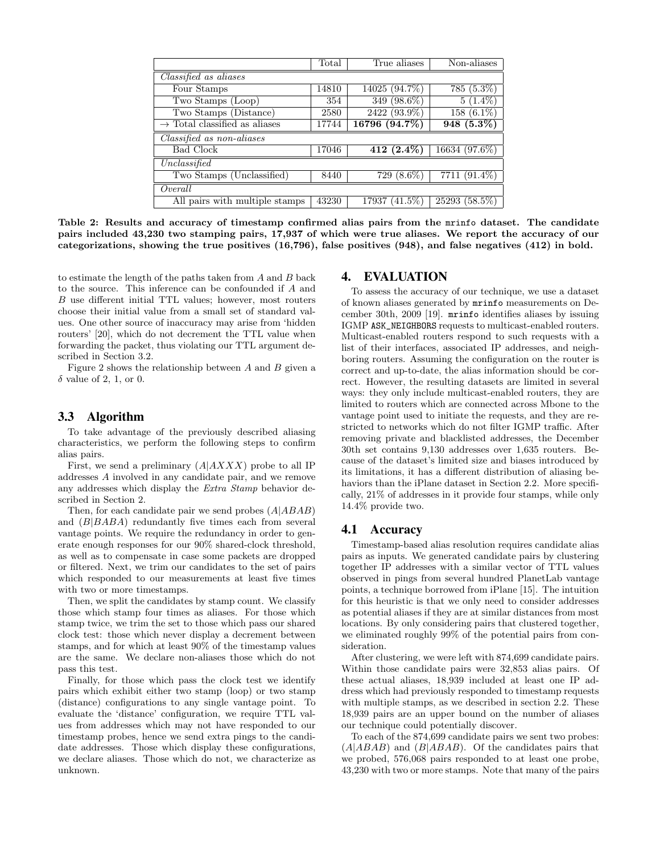|                                           | Total | True aliases                 | Non-aliases         |  |
|-------------------------------------------|-------|------------------------------|---------------------|--|
| Classified as aliases                     |       |                              |                     |  |
| Four Stamps                               | 14810 | 14025 (94.7%)                | $785(5.3\%)$        |  |
| Two Stamps (Loop)                         | 354   | 349 (98.6%)                  | $5(1.4\%)$          |  |
| Two Stamps (Distance)                     | 2580  | $\overline{2422} \ (93.9\%)$ | $158(6.1\%)$        |  |
| $\rightarrow$ Total classified as aliases | 17744 | 16796(94.7%)                 | 948 $(5.3\%)$       |  |
| Classified as non-aliases                 |       |                              |                     |  |
| <b>Bad Clock</b>                          | 17046 | 412 $(2.4\%)$                | 16634 (97.6%)       |  |
| Unclassified                              |       |                              |                     |  |
| Two Stamps (Unclassified)                 | 8440  | 729 (8.6%)                   | 7711 (91.4%)        |  |
| Overall                                   |       |                              |                     |  |
| All pairs with multiple stamps            | 43230 | $(41.5\%)$<br>17937          | 25293<br>$(58.5\%)$ |  |

Table 2: Results and accuracy of timestamp confirmed alias pairs from the mrinfo dataset. The candidate pairs included 43,230 two stamping pairs, 17,937 of which were true aliases. We report the accuracy of our categorizations, showing the true positives (16,796), false positives (948), and false negatives (412) in bold.

to estimate the length of the paths taken from  $A$  and  $B$  back to the source. This inference can be confounded if A and B use different initial TTL values; however, most routers choose their initial value from a small set of standard values. One other source of inaccuracy may arise from 'hidden routers' [20], which do not decrement the TTL value when forwarding the packet, thus violating our TTL argument described in Section 3.2.

Figure 2 shows the relationship between  $A$  and  $B$  given a  $\delta$  value of 2, 1, or 0.

## 3.3 Algorithm

To take advantage of the previously described aliasing characteristics, we perform the following steps to confirm alias pairs.

First, we send a preliminary  $(A|AXXX)$  probe to all IP addresses A involved in any candidate pair, and we remove any addresses which display the Extra Stamp behavior described in Section 2.

Then, for each candidate pair we send probes  $(A|ABAB)$ and  $(B|BABA)$  redundantly five times each from several vantage points. We require the redundancy in order to generate enough responses for our 90% shared-clock threshold, as well as to compensate in case some packets are dropped or filtered. Next, we trim our candidates to the set of pairs which responded to our measurements at least five times with two or more timestamps.

Then, we split the candidates by stamp count. We classify those which stamp four times as aliases. For those which stamp twice, we trim the set to those which pass our shared clock test: those which never display a decrement between stamps, and for which at least 90% of the timestamp values are the same. We declare non-aliases those which do not pass this test.

Finally, for those which pass the clock test we identify pairs which exhibit either two stamp (loop) or two stamp (distance) configurations to any single vantage point. To evaluate the 'distance' configuration, we require TTL values from addresses which may not have responded to our timestamp probes, hence we send extra pings to the candidate addresses. Those which display these configurations, we declare aliases. Those which do not, we characterize as unknown.

# 4. EVALUATION

To assess the accuracy of our technique, we use a dataset of known aliases generated by mrinfo measurements on December 30th, 2009 [19]. mrinfo identifies aliases by issuing IGMP ASK\_NEIGHBORS requests to multicast-enabled routers. Multicast-enabled routers respond to such requests with a list of their interfaces, associated IP addresses, and neighboring routers. Assuming the configuration on the router is correct and up-to-date, the alias information should be correct. However, the resulting datasets are limited in several ways: they only include multicast-enabled routers, they are limited to routers which are connected across Mbone to the vantage point used to initiate the requests, and they are restricted to networks which do not filter IGMP traffic. After removing private and blacklisted addresses, the December 30th set contains 9,130 addresses over 1,635 routers. Because of the dataset's limited size and biases introduced by its limitations, it has a different distribution of aliasing behaviors than the iPlane dataset in Section 2.2. More specifically, 21% of addresses in it provide four stamps, while only 14.4% provide two.

## 4.1 Accuracy

Timestamp-based alias resolution requires candidate alias pairs as inputs. We generated candidate pairs by clustering together IP addresses with a similar vector of TTL values observed in pings from several hundred PlanetLab vantage points, a technique borrowed from iPlane [15]. The intuition for this heuristic is that we only need to consider addresses as potential aliases if they are at similar distances from most locations. By only considering pairs that clustered together, we eliminated roughly 99% of the potential pairs from consideration.

After clustering, we were left with 874,699 candidate pairs. Within those candidate pairs were 32,853 alias pairs. Of these actual aliases, 18,939 included at least one IP address which had previously responded to timestamp requests with multiple stamps, as we described in section 2.2. These 18,939 pairs are an upper bound on the number of aliases our technique could potentially discover.

To each of the 874,699 candidate pairs we sent two probes:  $(A|ABAB)$  and  $(B|ABAB)$ . Of the candidates pairs that we probed, 576,068 pairs responded to at least one probe, 43,230 with two or more stamps. Note that many of the pairs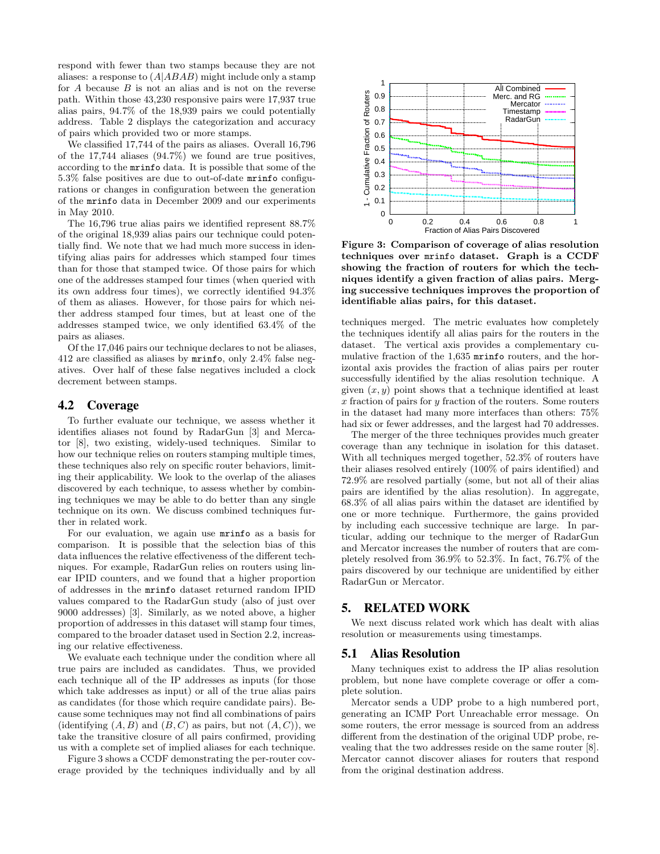respond with fewer than two stamps because they are not aliases: a response to  $(A|ABAB)$  might include only a stamp for  $A$  because  $B$  is not an alias and is not on the reverse path. Within those 43,230 responsive pairs were 17,937 true alias pairs, 94.7% of the 18,939 pairs we could potentially address. Table 2 displays the categorization and accuracy of pairs which provided two or more stamps.

We classified 17,744 of the pairs as aliases. Overall 16,796 of the 17,744 aliases (94.7%) we found are true positives, according to the mrinfo data. It is possible that some of the 5.3% false positives are due to out-of-date mrinfo configurations or changes in configuration between the generation of the mrinfo data in December 2009 and our experiments in May 2010.

The 16,796 true alias pairs we identified represent 88.7% of the original 18,939 alias pairs our technique could potentially find. We note that we had much more success in identifying alias pairs for addresses which stamped four times than for those that stamped twice. Of those pairs for which one of the addresses stamped four times (when queried with its own address four times), we correctly identified 94.3% of them as aliases. However, for those pairs for which neither address stamped four times, but at least one of the addresses stamped twice, we only identified 63.4% of the pairs as aliases.

Of the 17,046 pairs our technique declares to not be aliases, 412 are classified as aliases by mrinfo, only 2.4% false negatives. Over half of these false negatives included a clock decrement between stamps.

#### 4.2 Coverage

To further evaluate our technique, we assess whether it identifies aliases not found by RadarGun [3] and Mercator [8], two existing, widely-used techniques. Similar to how our technique relies on routers stamping multiple times, these techniques also rely on specific router behaviors, limiting their applicability. We look to the overlap of the aliases discovered by each technique, to assess whether by combining techniques we may be able to do better than any single technique on its own. We discuss combined techniques further in related work.

For our evaluation, we again use mrinfo as a basis for comparison. It is possible that the selection bias of this data influences the relative effectiveness of the different techniques. For example, RadarGun relies on routers using linear IPID counters, and we found that a higher proportion of addresses in the mrinfo dataset returned random IPID values compared to the RadarGun study (also of just over 9000 addresses) [3]. Similarly, as we noted above, a higher proportion of addresses in this dataset will stamp four times, compared to the broader dataset used in Section 2.2, increasing our relative effectiveness.

We evaluate each technique under the condition where all true pairs are included as candidates. Thus, we provided each technique all of the IP addresses as inputs (for those which take addresses as input) or all of the true alias pairs as candidates (for those which require candidate pairs). Because some techniques may not find all combinations of pairs (identifying  $(A, B)$  and  $(B, C)$  as pairs, but not  $(A, C)$ ), we take the transitive closure of all pairs confirmed, providing us with a complete set of implied aliases for each technique.

Figure 3 shows a CCDF demonstrating the per-router coverage provided by the techniques individually and by all



Figure 3: Comparison of coverage of alias resolution techniques over mrinfo dataset. Graph is a CCDF showing the fraction of routers for which the techniques identify a given fraction of alias pairs. Merging successive techniques improves the proportion of identifiable alias pairs, for this dataset.

techniques merged. The metric evaluates how completely the techniques identify all alias pairs for the routers in the dataset. The vertical axis provides a complementary cumulative fraction of the 1,635 mrinfo routers, and the horizontal axis provides the fraction of alias pairs per router successfully identified by the alias resolution technique. A given  $(x, y)$  point shows that a technique identified at least  $x$  fraction of pairs for  $y$  fraction of the routers. Some routers in the dataset had many more interfaces than others: 75% had six or fewer addresses, and the largest had 70 addresses.

The merger of the three techniques provides much greater coverage than any technique in isolation for this dataset. With all techniques merged together, 52.3% of routers have their aliases resolved entirely (100% of pairs identified) and 72.9% are resolved partially (some, but not all of their alias pairs are identified by the alias resolution). In aggregate, 68.3% of all alias pairs within the dataset are identified by one or more technique. Furthermore, the gains provided by including each successive technique are large. In particular, adding our technique to the merger of RadarGun and Mercator increases the number of routers that are completely resolved from 36.9% to 52.3%. In fact, 76.7% of the pairs discovered by our technique are unidentified by either RadarGun or Mercator.

# 5. RELATED WORK

We next discuss related work which has dealt with alias resolution or measurements using timestamps.

#### 5.1 Alias Resolution

Many techniques exist to address the IP alias resolution problem, but none have complete coverage or offer a complete solution.

Mercator sends a UDP probe to a high numbered port, generating an ICMP Port Unreachable error message. On some routers, the error message is sourced from an address different from the destination of the original UDP probe, revealing that the two addresses reside on the same router [8]. Mercator cannot discover aliases for routers that respond from the original destination address.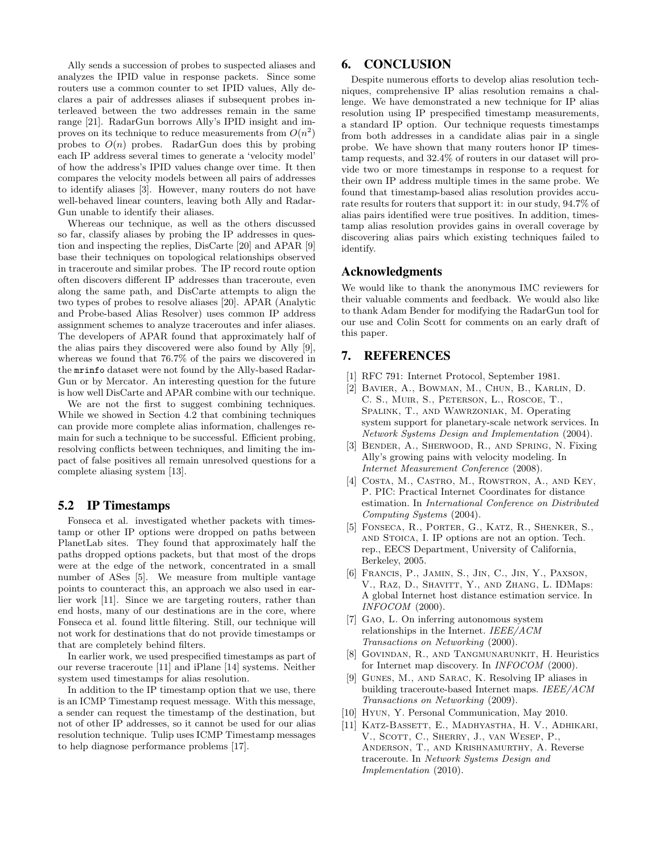Ally sends a succession of probes to suspected aliases and analyzes the IPID value in response packets. Since some routers use a common counter to set IPID values, Ally declares a pair of addresses aliases if subsequent probes interleaved between the two addresses remain in the same range [21]. RadarGun borrows Ally's IPID insight and improves on its technique to reduce measurements from  $O(n^2)$ probes to  $O(n)$  probes. RadarGun does this by probing each IP address several times to generate a 'velocity model' of how the address's IPID values change over time. It then compares the velocity models between all pairs of addresses to identify aliases [3]. However, many routers do not have well-behaved linear counters, leaving both Ally and Radar-Gun unable to identify their aliases.

Whereas our technique, as well as the others discussed so far, classify aliases by probing the IP addresses in question and inspecting the replies, DisCarte [20] and APAR [9] base their techniques on topological relationships observed in traceroute and similar probes. The IP record route option often discovers different IP addresses than traceroute, even along the same path, and DisCarte attempts to align the two types of probes to resolve aliases [20]. APAR (Analytic and Probe-based Alias Resolver) uses common IP address assignment schemes to analyze traceroutes and infer aliases. The developers of APAR found that approximately half of the alias pairs they discovered were also found by Ally [9], whereas we found that 76.7% of the pairs we discovered in the mrinfo dataset were not found by the Ally-based Radar-Gun or by Mercator. An interesting question for the future is how well DisCarte and APAR combine with our technique.

We are not the first to suggest combining techniques. While we showed in Section 4.2 that combining techniques can provide more complete alias information, challenges remain for such a technique to be successful. Efficient probing, resolving conflicts between techniques, and limiting the impact of false positives all remain unresolved questions for a complete aliasing system [13].

#### 5.2 IP Timestamps

Fonseca et al. investigated whether packets with timestamp or other IP options were dropped on paths between PlanetLab sites. They found that approximately half the paths dropped options packets, but that most of the drops were at the edge of the network, concentrated in a small number of ASes [5]. We measure from multiple vantage points to counteract this, an approach we also used in earlier work [11]. Since we are targeting routers, rather than end hosts, many of our destinations are in the core, where Fonseca et al. found little filtering. Still, our technique will not work for destinations that do not provide timestamps or that are completely behind filters.

In earlier work, we used prespecified timestamps as part of our reverse traceroute [11] and iPlane [14] systems. Neither system used timestamps for alias resolution.

In addition to the IP timestamp option that we use, there is an ICMP Timestamp request message. With this message, a sender can request the timestamp of the destination, but not of other IP addresses, so it cannot be used for our alias resolution technique. Tulip uses ICMP Timestamp messages to help diagnose performance problems [17].

# 6. CONCLUSION

Despite numerous efforts to develop alias resolution techniques, comprehensive IP alias resolution remains a challenge. We have demonstrated a new technique for IP alias resolution using IP prespecified timestamp measurements, a standard IP option. Our technique requests timestamps from both addresses in a candidate alias pair in a single probe. We have shown that many routers honor IP timestamp requests, and 32.4% of routers in our dataset will provide two or more timestamps in response to a request for their own IP address multiple times in the same probe. We found that timestamp-based alias resolution provides accurate results for routers that support it: in our study, 94.7% of alias pairs identified were true positives. In addition, timestamp alias resolution provides gains in overall coverage by discovering alias pairs which existing techniques failed to identify.

#### Acknowledgments

We would like to thank the anonymous IMC reviewers for their valuable comments and feedback. We would also like to thank Adam Bender for modifying the RadarGun tool for our use and Colin Scott for comments on an early draft of this paper.

# 7. REFERENCES

- [1] RFC 791: Internet Protocol, September 1981.
- [2] Bavier, A., Bowman, M., Chun, B., Karlin, D. C. S., Muir, S., Peterson, L., Roscoe, T., Spalink, T., and Wawrzoniak, M. Operating system support for planetary-scale network services. In Network Systems Design and Implementation (2004).
- [3] Bender, A., Sherwood, R., and Spring, N. Fixing Ally's growing pains with velocity modeling. In Internet Measurement Conference (2008).
- [4] COSTA, M., CASTRO, M., ROWSTRON, A., AND KEY, P. PIC: Practical Internet Coordinates for distance estimation. In International Conference on Distributed Computing Systems (2004).
- [5] Fonseca, R., Porter, G., Katz, R., Shenker, S., and Stoica, I. IP options are not an option. Tech. rep., EECS Department, University of California, Berkeley, 2005.
- [6] Francis, P., Jamin, S., Jin, C., Jin, Y., Paxson, V., RAZ, D., SHAVITT, Y., AND ZHANG, L. IDMaps: A global Internet host distance estimation service. In INFOCOM (2000).
- [7] Gao, L. On inferring autonomous system relationships in the Internet. IEEE/ACM Transactions on Networking (2000).
- [8] Govindan, R., and Tangmunarunkit, H. Heuristics for Internet map discovery. In INFOCOM (2000).
- [9] Gunes, M., and Sarac, K. Resolving IP aliases in building traceroute-based Internet maps. IEEE/ACM Transactions on Networking (2009).
- [10] HYUN, Y. Personal Communication, May 2010.
- [11] Katz-Bassett, E., Madhyastha, H. V., Adhikari, V., Scott, C., Sherry, J., van Wesep, P., Anderson, T., and Krishnamurthy, A. Reverse traceroute. In Network Systems Design and Implementation (2010).